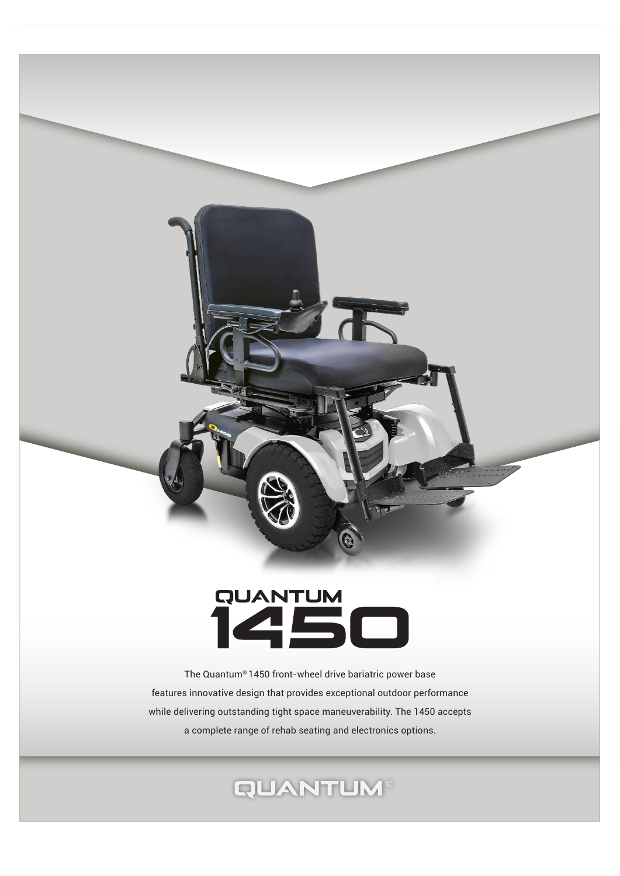